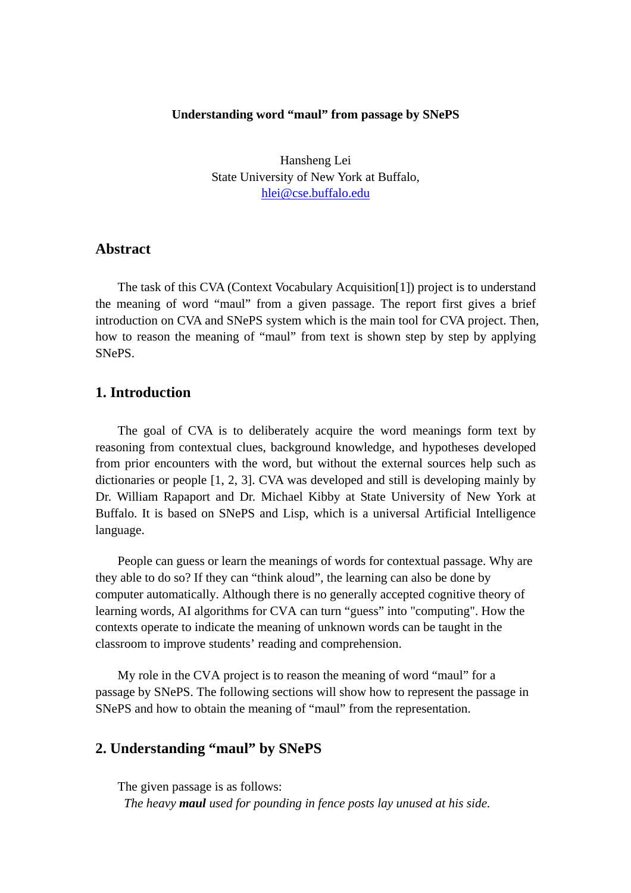#### **Understanding word "maul" from passage by SNePS**

Hansheng Lei State University of New York at Buffalo, [hlei@cse.buffalo.edu](mailto:hlei@cse.buffalo.edu)

### **Abstract**

 The task of this CVA (Context Vocabulary Acquisition[1]) project is to understand the meaning of word "maul" from a given passage. The report first gives a brief introduction on CVA and SNePS system which is the main tool for CVA project. Then, how to reason the meaning of "maul" from text is shown step by step by applying SNePS.

## **1. Introduction**

 The goal of CVA is to deliberately acquire the word meanings form text by reasoning from contextual clues, background knowledge, and hypotheses developed from prior encounters with the word, but without the external sources help such as dictionaries or people [1, 2, 3]. CVA was developed and still is developing mainly by Dr. William Rapaport and Dr. Michael Kibby at State University of New York at Buffalo. It is based on SNePS and Lisp, which is a universal Artificial Intelligence language.

 People can guess or learn the meanings of words for contextual passage. Why are they able to do so? If they can "think aloud", the learning can also be done by computer automatically. Although there is no generally accepted cognitive theory of learning words, AI algorithms for CVA can turn "guess" into "computing". How the contexts operate to indicate the meaning of unknown words can be taught in the classroom to improve students' reading and comprehension.

 My role in the CVA project is to reason the meaning of word "maul" for a passage by SNePS. The following sections will show how to represent the passage in SNePS and how to obtain the meaning of "maul" from the representation.

# **2. Understanding "maul" by SNePS**

 The given passage is as follows: *The heavy maul used for pounding in fence posts lay unused at his side.*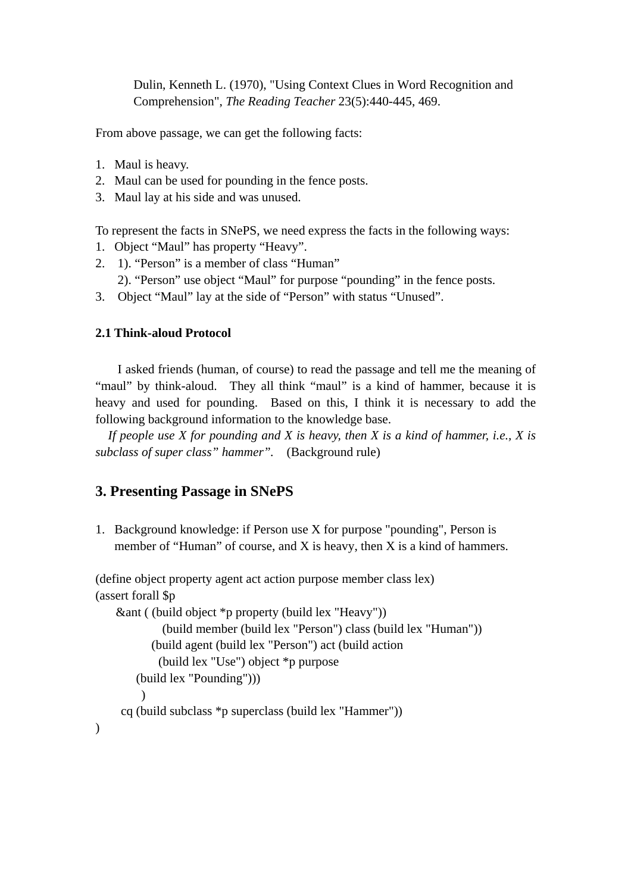Dulin, Kenneth L. (1970), "Using Context Clues in Word Recognition and Comprehension", *The Reading Teacher* 23(5):440-445, 469.

From above passage, we can get the following facts:

- 1. Maul is heavy.
- 2. Maul can be used for pounding in the fence posts.
- 3. Maul lay at his side and was unused.

To represent the facts in SNePS, we need express the facts in the following ways:

- 1. Object "Maul" has property "Heavy".
- 2. 1). "Person" is a member of class "Human"
	- 2). "Person" use object "Maul" for purpose "pounding" in the fence posts.
- 3. Object "Maul" lay at the side of "Person" with status "Unused".

### **2.1 Think-aloud Protocol**

I asked friends (human, of course) to read the passage and tell me the meaning of "maul" by think-aloud. They all think "maul" is a kind of hammer, because it is heavy and used for pounding. Based on this, I think it is necessary to add the following background information to the knowledge base.

 *If people use X for pounding and X is heavy, then X is a kind of hammer, i.e., X is subclass of super class" hammer".* (Background rule)

# **3. Presenting Passage in SNePS**

1. Background knowledge: if Person use X for purpose "pounding", Person is member of "Human" of course, and X is heavy, then X is a kind of hammers.

(define object property agent act action purpose member class lex) (assert forall \$p &ant ( (build object \*p property (build lex "Heavy")) (build member (build lex "Person") class (build lex "Human")) (build agent (build lex "Person") act (build action

```
 (build lex "Use") object *p purpose
```
cq (build subclass \*p superclass (build lex "Hammer"))

```
 (build lex "Pounding")))
```
 $\mathcal{L}$ 

 $\lambda$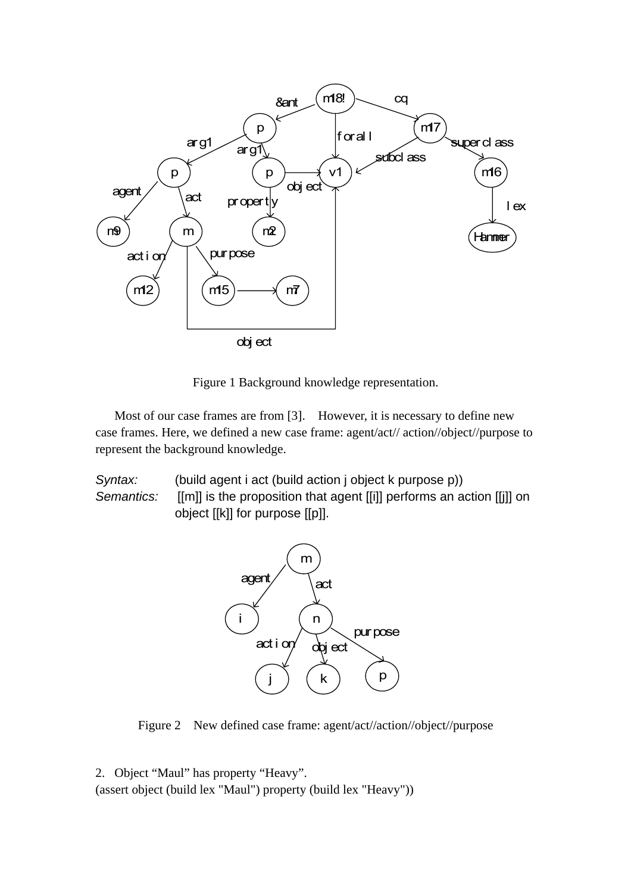

Figure 1 Background knowledge representation.

Most of our case frames are from [3]. However, it is necessary to define new case frames. Here, we defined a new case frame: agent/act// action//object//purpose to represent the background knowledge.

*Syntax:* (build agent i act (build action j object k purpose p)) *Semantics:* [[m]] is the proposition that agent [[i]] performs an action [[j]] on object [[k]] for purpose [[p]].



Figure 2 New defined case frame: agent/act//action//object//purpose

2. Object "Maul" has property "Heavy".

(assert object (build lex "Maul") property (build lex "Heavy"))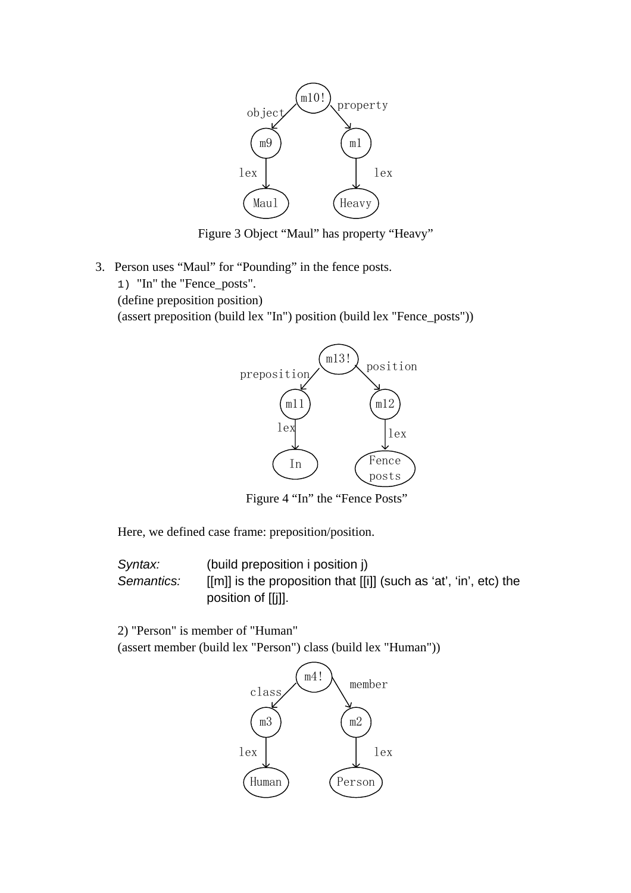

Figure 3 Object "Maul" has property "Heavy"

- 3. Person uses "Maul" for "Pounding" in the fence posts.
	- 1) "In" the "Fence\_posts".

(define preposition position)

(assert preposition (build lex "In") position (build lex "Fence\_posts"))



Figure 4 "In" the "Fence Posts"

Here, we defined case frame: preposition/position.

*Syntax:* (build preposition i position j) *Semantics:* [[m]] is the proposition that [[i]] (such as 'at', 'in', etc) the position of [[j]].

2) "Person" is member of "Human"

(assert member (build lex "Person") class (build lex "Human"))

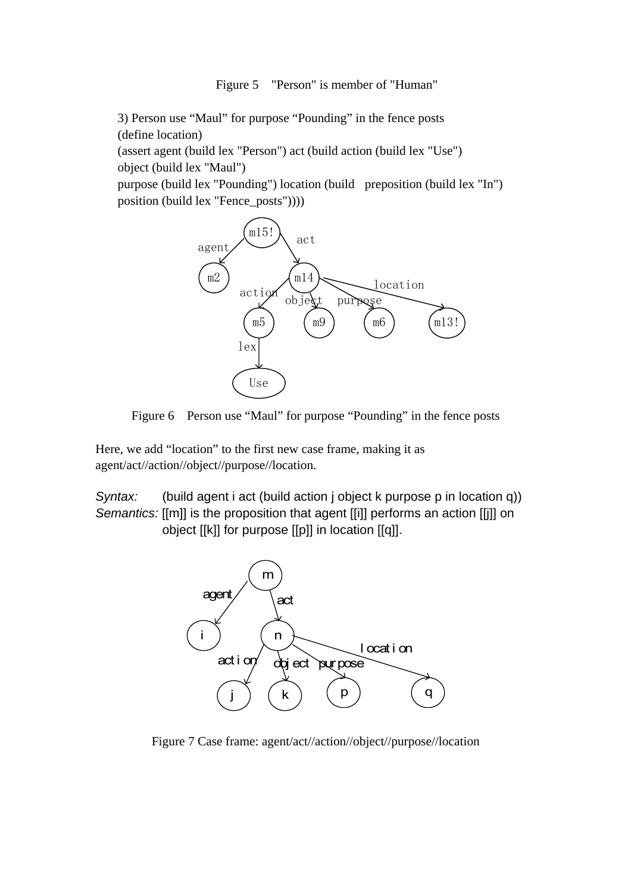#### Figure 5 "Person" is member of "Human"

3) Person use "Maul" for purpose "Pounding" in the fence posts (define location)

(assert agent (build lex "Person") act (build action (build lex "Use") object (build lex "Maul")

purpose (build lex "Pounding") location (build preposition (build lex "In") position (build lex "Fence\_posts"))))





Here, we add "location" to the first new case frame, making it as agent/act//action//object//purpose//location.

*Syntax:* (build agent i act (build action j object k purpose p in location q)) *Semantics:* [[m]] is the proposition that agent [[i]] performs an action [[j]] on object [[k]] for purpose [[p]] in location [[q]].



Figure 7 Case frame: agent/act//action//object//purpose//location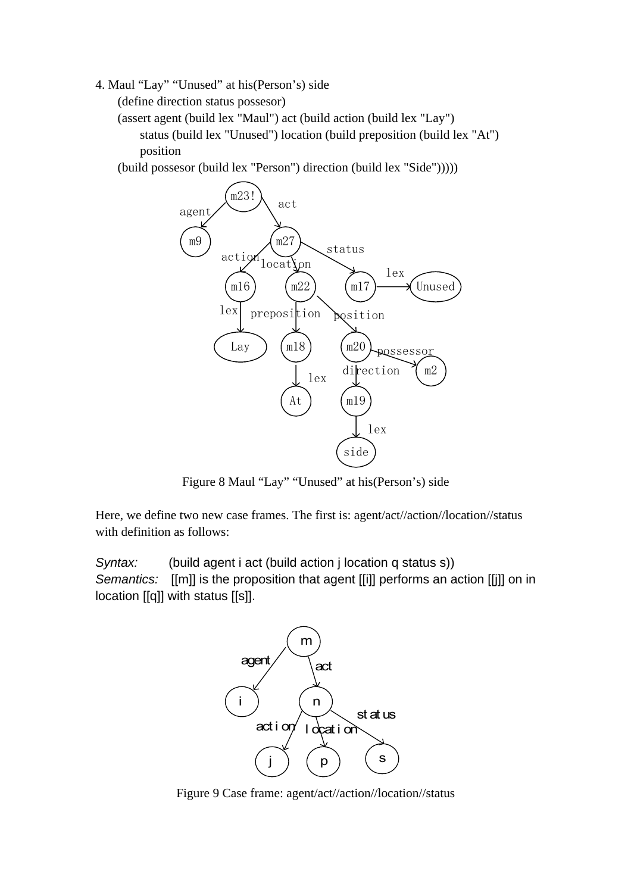4. Maul "Lay" "Unused" at his(Person's) side

(define direction status possesor)

(assert agent (build lex "Maul") act (build action (build lex "Lay") status (build lex "Unused") location (build preposition (build lex "At") position

(build possesor (build lex "Person") direction (build lex "Side")))))



Figure 8 Maul "Lay" "Unused" at his(Person's) side

Here, we define two new case frames. The first is: agent/act//action//location//status with definition as follows:

*Syntax:* (build agent i act (build action j location q status s)) *Semantics:* [[m]] is the proposition that agent [[i]] performs an action [[j]] on in location [[q]] with status [[s]].



Figure 9 Case frame: agent/act//action//location//status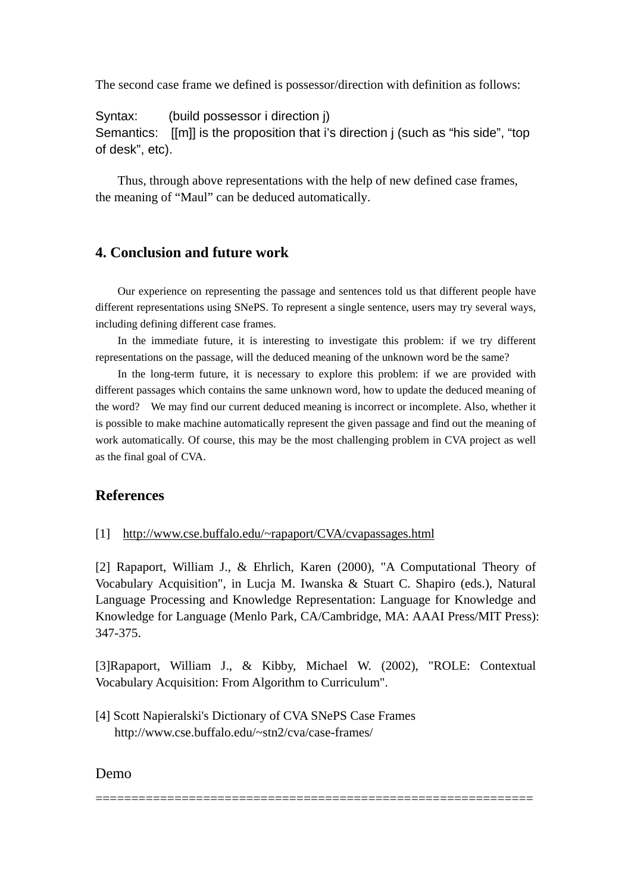The second case frame we defined is possessor/direction with definition as follows:

Syntax: (build possessor i direction j) Semantics: [[m]] is the proposition that i's direction j (such as "his side", "top of desk", etc).

 Thus, through above representations with the help of new defined case frames, the meaning of "Maul" can be deduced automatically.

# **4. Conclusion and future work**

 Our experience on representing the passage and sentences told us that different people have different representations using SNePS. To represent a single sentence, users may try several ways, including defining different case frames.

 In the immediate future, it is interesting to investigate this problem: if we try different representations on the passage, will the deduced meaning of the unknown word be the same?

 In the long-term future, it is necessary to explore this problem: if we are provided with different passages which contains the same unknown word, how to update the deduced meaning of the word? We may find our current deduced meaning is incorrect or incomplete. Also, whether it is possible to make machine automatically represent the given passage and find out the meaning of work automatically. Of course, this may be the most challenging problem in CVA project as well as the final goal of CVA.

## **References**

#### [1] <http://www.cse.buffalo.edu/~rapaport/CVA/cvapassages.html>

[2] Rapaport, William J., & Ehrlich, Karen (2000), "A Computational Theory of Vocabulary Acquisition", in Lucja M. Iwanska & Stuart C. Shapiro (eds.), Natural Language Processing and Knowledge Representation: Language for Knowledge and Knowledge for Language (Menlo Park, CA/Cambridge, MA: AAAI Press/MIT Press): 347-375.

[3]Rapaport, William J., & Kibby, Michael W. (2002), "ROLE: Contextual Vocabulary Acquisition: From Algorithm to Curriculum".

=============================================================

[4] Scott Napieralski's Dictionary of CVA SNePS Case Frames http://www.cse.buffalo.edu/~stn2/cva/case-frames/

### Demo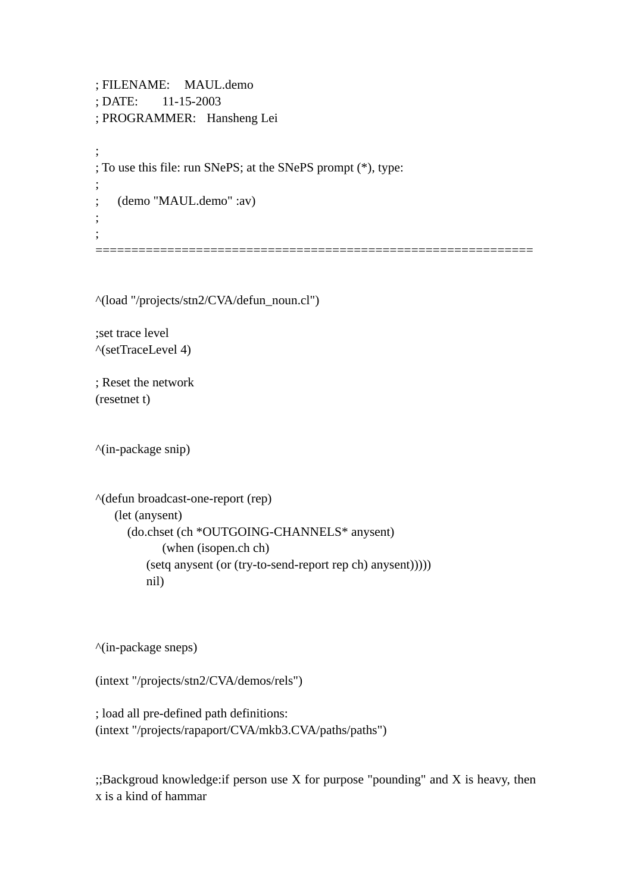; FILENAME: MAUL.demo ; DATE: 11-15-2003 ; PROGRAMMER: Hansheng Lei ; ; To use this file: run SNePS; at the SNePS prompt (\*), type: ; ; (demo "MAUL.demo" :av) ; ; =============================================================

^(load "/projects/stn2/CVA/defun\_noun.cl")

;set trace level ^(setTraceLevel 4)

; Reset the network (resetnet t)

^(in-package snip)

```
^(defun broadcast-one-report (rep) 
    (let (anysent) 
       (do.chset (ch *OUTGOING-CHANNELS* anysent) 
              (when (isopen.ch ch) 
           (setq anysent (or (try-to-send-report rep ch) anysent))))) 
           nil)
```
^(in-package sneps)

(intext "/projects/stn2/CVA/demos/rels")

; load all pre-defined path definitions: (intext "/projects/rapaport/CVA/mkb3.CVA/paths/paths")

;;Backgroud knowledge:if person use X for purpose "pounding" and X is heavy, then x is a kind of hammar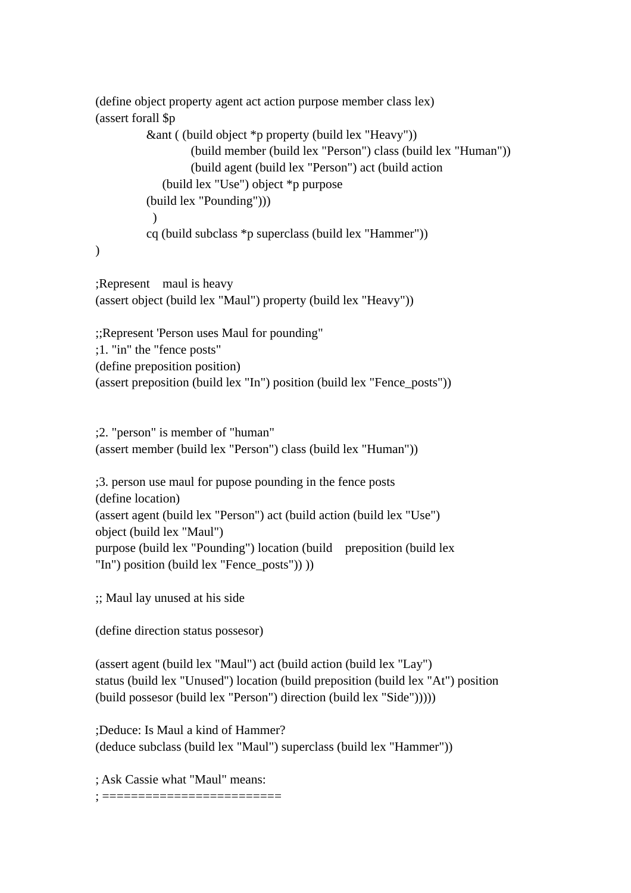```
(define object property agent act action purpose member class lex) 
(assert forall $p 
           &ant ( (build object *p property (build lex "Heavy")) 
                    (build member (build lex "Person") class (build lex "Human")) 
                    (build agent (build lex "Person") act (build action 
               (build lex "Use") object *p purpose 
           (build lex "Pounding"))) 
           \lambda cq (build subclass *p superclass (build lex "Hammer")) 
)
```
;Represent maul is heavy (assert object (build lex "Maul") property (build lex "Heavy"))

;;Represent 'Person uses Maul for pounding" ;1. "in" the "fence posts" (define preposition position) (assert preposition (build lex "In") position (build lex "Fence\_posts"))

;2. "person" is member of "human" (assert member (build lex "Person") class (build lex "Human"))

;3. person use maul for pupose pounding in the fence posts (define location) (assert agent (build lex "Person") act (build action (build lex "Use") object (build lex "Maul") purpose (build lex "Pounding") location (build preposition (build lex "In") position (build lex "Fence\_posts")) ))

;; Maul lay unused at his side

(define direction status possesor)

(assert agent (build lex "Maul") act (build action (build lex "Lay") status (build lex "Unused") location (build preposition (build lex "At") position (build possesor (build lex "Person") direction (build lex "Side")))))

;Deduce: Is Maul a kind of Hammer? (deduce subclass (build lex "Maul") superclass (build lex "Hammer"))

; Ask Cassie what "Maul" means:

; =========================